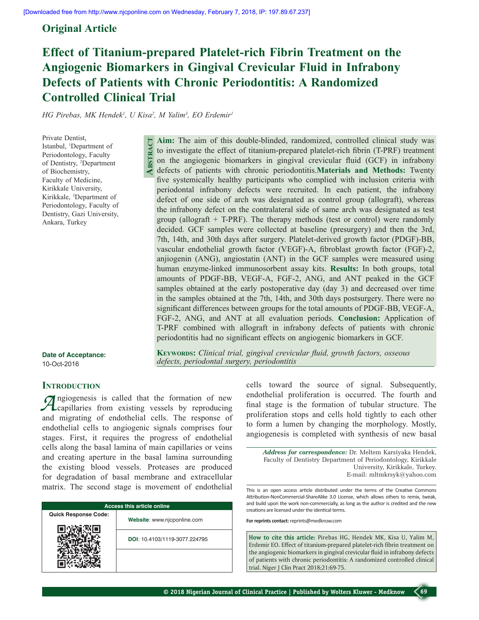## **Original Article**

# **Effect of Titanium-prepared Platelet-rich Fibrin Treatment on the Angiogenic Biomarkers in Gingival Crevicular Fluid in Infrabony Defects of Patients with Chronic Periodontitis: A Randomized Controlled Clinical Trial**

*HG Pirebas, MK Hendek<sup>1</sup> , U Kisa<sup>2</sup> , M Yalim3 , EO Erdemir1*

**Abstract**

Private Dentist, Istanbul, 1 Department of Periodontology, Faculty of Dentistry, 2 Department of Biochemistry, Faculty of Medicine, Kirikkale University, Kirikkale, 3 Department of Periodontology, Faculty of Dentistry, Gazi University, Ankara, Turkey

**Aim:** The aim of this double-blinded, randomized, controlled clinical study was to investigate the effect of titanium-prepared platelet-rich fibrin (T-PRF) treatment on the angiogenic biomarkers in gingival crevicular fluid (GCF) in infrabony defects of patients with chronic periodontitis.**Materials and Methods:** Twenty five systemically healthy participants who complied with inclusion criteria with periodontal infrabony defects were recruited. In each patient, the infrabony defect of one side of arch was designated as control group (allograft), whereas the infrabony defect on the contralateral side of same arch was designated as test group (allograft  $+$  T-PRF). The therapy methods (test or control) were randomly decided. GCF samples were collected at baseline (presurgery) and then the 3rd, 7th, 14th, and 30th days after surgery. Platelet-derived growth factor (PDGF)-BB, vascular endothelial growth factor (VEGF)-A, fibroblast growth factor (FGF)-2, anjiogenin (ANG), angiostatin (ANT) in the GCF samples were measured using human enzyme-linked immunosorbent assay kits. **Results:** In both groups, total amounts of PDGF-BB, VEGF-A, FGF-2, ANG, and ANT peaked in the GCF samples obtained at the early postoperative day (day 3) and decreased over time in the samples obtained at the 7th, 14th, and 30th days postsurgery. There were no significant differences between groups for the total amounts of PDGF-BB, VEGF-A, FGF-2, ANG, and ANT at all evaluation periods. **Conclusion:** Application of T-PRF combined with allograft in infrabony defects of patients with chronic periodontitis had no significant effects on angiogenic biomarkers in GCF.

**Date of Acceptance:** 10-Oct-2016

**Keywords:** *Clinical trial, gingival crevicular fluid, growth factors, osseous defects, periodontal surgery, periodontitis* 

## **INTRODUCTION**

*A*ngiogenesis is called that the formation of new capillaries from existing vessels by reproducing and migrating of endothelial cells. The response of endothelial cells to angiogenic signals comprises four stages. First, it requires the progress of endothelial cells along the basal lamina of main capillaries or veins and creating aperture in the basal lamina surrounding the existing blood vessels. Proteases are produced for degradation of basal membrane and extracellular matrix. The second stage is movement of endothelial

| <b>Access this article online</b> |                               |  |
|-----------------------------------|-------------------------------|--|
| <b>Quick Response Code:</b>       | Website: www.njcponline.com   |  |
|                                   | DOI: 10.4103/1119-3077.224795 |  |
|                                   |                               |  |

cells toward the source of signal. Subsequently, endothelial proliferation is occurred. The fourth and final stage is the formation of tubular structure. The proliferation stops and cells hold tightly to each other to form a lumen by changing the morphology. Mostly, angiogenesis is completed with synthesis of new basal

*Address for correspondence:* Dr. Meltem Karsiyaka Hendek, Faculty of Dentistry Department of Periodontology, Kirikkale University, Kirikkale, Turkey. E-mail: mltmkrsyk@yahoo.com

This is an open access article distributed under the terms of the Creative Commons Attribution-NonCommercial-ShareAlike 3.0 License, which allows others to remix, tweak, and build upon the work non-commercially, as long as the author is credited and the new creations are licensed under the identical terms.

**For reprints contact:** reprints@medknow.com

**How to cite this article:** Pirebas HG, Hendek MK, Kisa U, Yalim M, Erdemir EO. Effect of titanium-prepared platelet-rich fibrin treatment on the angiogenic biomarkers in gingival crevicular fluid in infrabony defects of patients with chronic periodontitis: A randomized controlled clinical trial. Niger J Clin Pract 2018;21:69-75.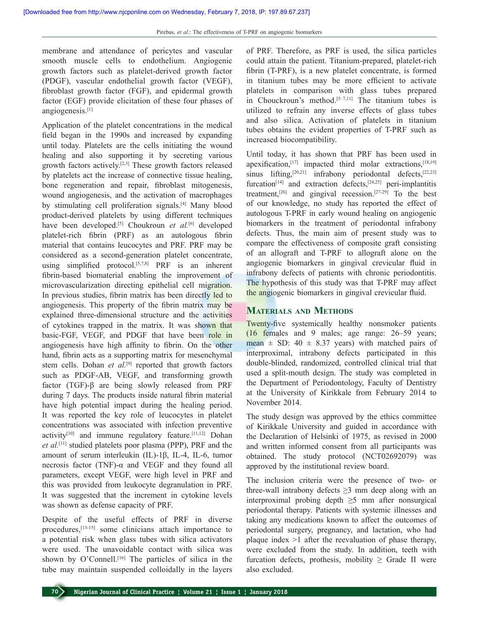membrane and attendance of pericytes and vascular smooth muscle cells to endothelium. Angiogenic growth factors such as platelet-derived growth factor (PDGF), vascular endothelial growth factor (VEGF), fibroblast growth factor (FGF), and epidermal growth factor (EGF) provide elicitation of these four phases of angiogenesis.[1]

Application of the platelet concentrations in the medical field began in the 1990s and increased by expanding until today. Platelets are the cells initiating the wound healing and also supporting it by secreting various growth factors actively.[2,3] These growth factors released by platelets act the increase of connective tissue healing, bone regeneration and repair, fibroblast mitogenesis, wound angiogenesis, and the activation of macrophages by stimulating cell proliferation signals.[4] Many blood product-derived platelets by using different techniques have been developed.<sup>[5]</sup> Choukroun *et al.*<sup>[6]</sup> developed platelet-rich fibrin (PRF) as an autologous fibrin material that contains leucocytes and PRF. PRF may be considered as a second-generation platelet concentrate, using simplified protocol.<sup>[5,7,8]</sup> PRF is an inherent fibrin-based biomaterial enabling the improvement of microvascularization directing epithelial cell migration. In previous studies, fibrin matrix has been directly led to angiogenesis. This property of the fibrin matrix may be explained three-dimensional structure and the activities of cytokines trapped in the matrix. It was shown that basic-FGF, VEGF, and PDGF that have been role in angiogenesis have high affinity to fibrin. On the other hand, fibrin acts as a supporting matrix for mesenchymal stem cells. Dohan *et al.*<sup>[9]</sup> reported that growth factors such as PDGF-AB, VEGF, and transforming growth factor (TGF)-β are being slowly released from PRF during 7 days. The products inside natural fibrin material have high potential impact during the healing period. It was reported the key role of leucocytes in platelet concentrations was associated with infection preventive activity<sup>[10]</sup> and immune regulatory feature.<sup>[11,12]</sup> Dohan *et al.*[11] studied platelets poor plasma (PPP), PRF and the amount of serum interleukin (IL)-1β, IL-4, IL-6, tumor necrosis factor (TNF)- $\alpha$  and VEGF and they found all parameters, except VEGF, were high level in PRF and this was provided from leukocyte degranulation in PRF. It was suggested that the increment in cytokine levels was shown as defense capacity of PRF.

Despite of the useful effects of PRF in diverse procedures,[13-15] some clinicians attach importance to a potential risk when glass tubes with silica activators were used. The unavoidable contact with silica was shown by O'Connell.<sup>[16]</sup> The particles of silica in the tube may maintain suspended colloidally in the layers of PRF. Therefore, as PRF is used, the silica particles could attain the patient. Titanium-prepared, platelet-rich fibrin (T-PRF), is a new platelet concentrate, is formed in titanium tubes may be more efficient to activate platelets in comparison with glass tubes prepared in Chouckroun's method.<sup>[5-7,11]</sup> The titanium tubes is utilized to refrain any inverse effects of glass tubes and also silica. Activation of platelets in titanium tubes obtains the evident properties of T-PRF such as increased biocompatibility.

Until today, it has shown that PRF has been used in apexification, $[17]$  impacted third molar extractions, $[18,19]$ sinus lifting,<sup>[20,21]</sup> infrabony periodontal defects,<sup>[22,23]</sup> furcation<sup>[14]</sup> and extraction defects,<sup>[24,25]</sup> peri-implantitis treatment,<sup>[26]</sup> and gingival recession.<sup>[27-29]</sup> To the best of our knowledge, no study has reported the effect of autologous T-PRF in early wound healing on angiogenic biomarkers in the treatment of periodontal infrabony defects. Thus, the main aim of present study was to compare the effectiveness of composite graft consisting of an allograft and T-PRF to allograft alone on the angiogenic biomarkers in gingival crevicular fluid in infrabony defects of patients with chronic periodontitis. The hypothesis of this study was that T-PRF may affect the angiogenic biomarkers in gingival crevicular fluid.

## **Materials and Methods**

Twenty-five systemically healthy nonsmoker patients (16 females and 9 males; age range: 26–59 years; mean  $\pm$  SD: 40  $\pm$  8.37 years) with matched pairs of interproximal, intrabony defects participated in this double-blinded, randomized, controlled clinical trial that used a split-mouth design. The study was completed in the Department of Periodontology, Faculty of Dentistry at the University of Kirikkale from February 2014 to November 2014.

The study design was approved by the ethics committee of Kirikkale University and guided in accordance with the Declaration of Helsinki of 1975, as revised in 2000 and written informed consent from all participants was obtained. The study protocol (NCT02692079) was approved by the institutional review board.

The inclusion criteria were the presence of two- or three-wall intrabony defects  $\geq$ 3 mm deep along with an interproximal probing depth  $\geq$ 5 mm after nonsurgical periodontal therapy. Patients with systemic illnesses and taking any medications known to affect the outcomes of periodontal surgery, pregnancy, and lactation, who had plaque index >1 after the reevaluation of phase therapy, were excluded from the study. In addition, teeth with furcation defects, prothesis, mobility  $\geq$  Grade II were also excluded.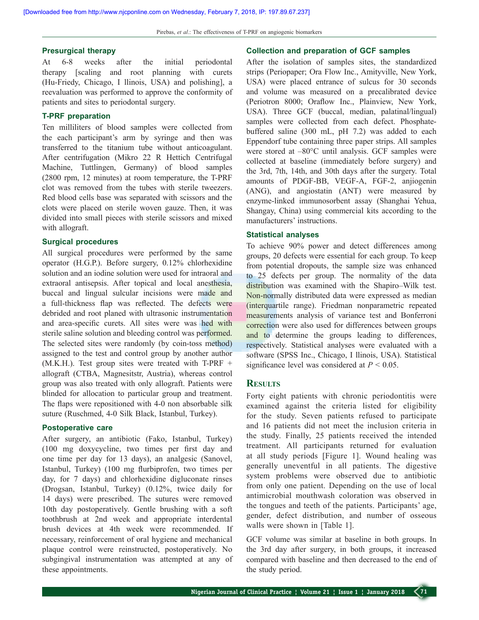#### **Presurgical therapy**

At 6-8 weeks after the initial periodontal therapy [scaling and root planning with curets (Hu-Friedy, Chicago, I llinois, USA) and polishing], a reevaluation was performed to approve the conformity of patients and sites to periodontal surgery.

## **T-PRF preparation**

Ten milliliters of blood samples were collected from the each participant's arm by syringe and then was transferred to the titanium tube without anticoagulant. After centrifugation (Mikro 22 R Hettich Centrifugal Machine, Tuttlingen, Germany) of blood samples (2800 rpm, 12 minutes) at room temperature, the T-PRF clot was removed from the tubes with sterile tweezers. Red blood cells base was separated with scissors and the clots were placed on sterile woven gauze. Then, it was divided into small pieces with sterile scissors and mixed with allograft.

## **Surgical procedures**

All surgical procedures were performed by the same operator (H.G.P.). Before surgery, 0.12% chlorhexidine solution and an iodine solution were used for intraoral and extraoral antisepsis. After topical and local anesthesia, buccal and lingual sulcular incisions were made and a full-thickness flap was reflected. The defects were debrided and root planed with ultrasonic instrumentation and area-specific curets. All sites were was hed with sterile saline solution and bleeding control was performed. The selected sites were randomly (by coin-toss method) assigned to the test and control group by another author (M.K.H.). Test group sites were treated with T-PRF + allograft (CTBA, Magnesitstr, Austria), whereas control group was also treated with only allograft. Patients were blinded for allocation to particular group and treatment. The flaps were repositioned with 4-0 non absorbable silk suture (Ruschmed, 4-0 Silk Black, Istanbul, Turkey).

#### **Postoperative care**

After surgery, an antibiotic (Fako, Istanbul, Turkey) (100 mg doxycycline, two times per first day and one time per day for 13 days), an analgesic (Sanovel, Istanbul, Turkey) (100 mg flurbiprofen, two times per day, for 7 days) and chlorhexidine digluconate rinses (Drogsan, Istanbul, Turkey) (0.12%, twice daily for 14 days) were prescribed. The sutures were removed 10th day postoperatively. Gentle brushing with a soft toothbrush at 2nd week and appropriate interdental brush devices at 4th week were recommended. If necessary, reinforcement of oral hygiene and mechanical plaque control were reinstructed, postoperatively. No subgingival instrumentation was attempted at any of these appointments.

#### **Collection and preparation of GCF samples**

After the isolation of samples sites, the standardized strips (Periopaper; Ora Flow Inc., Amityville, New York, USA) were placed entrance of sulcus for 30 seconds and volume was measured on a precalibrated device (Periotron 8000; Oraflow Inc., Plainview, New York, USA). Three GCF (buccal, median, palatinal/lingual) samples were collected from each defect. Phosphatebuffered saline (300 mL, pH 7.2) was added to each Eppendorf tube containing three paper strips. All samples were stored at –80°C until analysis. GCF samples were collected at baseline (immediately before surgery) and the 3rd, 7th, 14th, and 30th days after the surgery. Total amounts of PDGF-BB, VEGF-A, FGF-2, anjiogenin (ANG), and angiostatin (ANT) were measured by enzyme-linked immunosorbent assay (Shanghai Yehua, Shangay, China) using commercial kits according to the manufacturers' instructions.

#### **Statistical analyses**

To achieve 90% power and detect differences among groups, 20 defects were essential for each group. To keep from potential dropouts, the sample size was enhanced to 25 defects per group. The normality of the data distribution was examined with the Shapiro–Wilk test. Non-normally distributed data were expressed as median (interquartile range). Friedman nonparametric repeated measurements analysis of variance test and Bonferroni correction were also used for differences between groups and to determine the groups leading to differences, respectively. Statistical analyses were evaluated with a software (SPSS Inc., Chicago, I llinois, USA). Statistical significance level was considered at *P* < 0.05.

## **Results**

Forty eight patients with chronic periodontitis were examined against the criteria listed for eligibility for the study. Seven patients refused to participate and 16 patients did not meet the inclusion criteria in the study. Finally, 25 patients received the intended treatment. All participants returned for evaluation at all study periods [Figure 1]. Wound healing was generally uneventful in all patients. The digestive system problems were observed due to antibiotic from only one patient. Depending on the use of local antimicrobial mouthwash coloration was observed in the tongues and teeth of the patients. Participants' age, gender, defect distribution, and number of osseous walls were shown in [Table 1].

GCF volume was similar at baseline in both groups. In the 3rd day after surgery, in both groups, it increased compared with baseline and then decreased to the end of the study period.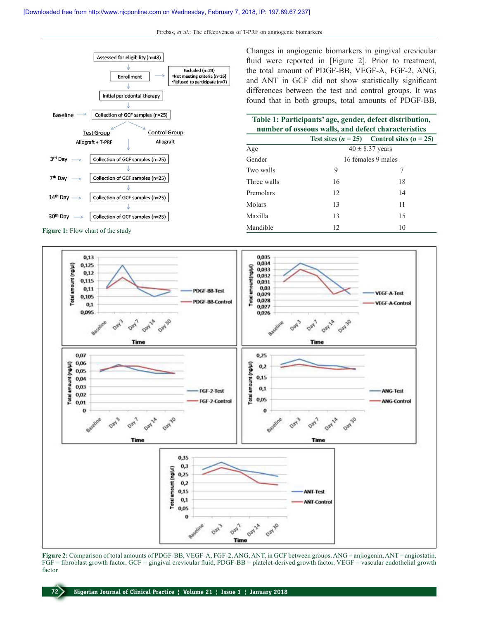Pirebas, *et al*.: The effectiveness of T-PRF on angiogenic biomarkers



**Figure 1:** Flow chart of the study

Changes in angiogenic biomarkers in gingival crevicular fluid were reported in [Figure 2]. Prior to treatment, the total amount of PDGF-BB, VEGF-A, FGF-2, ANG, and ANT in GCF did not show statistically significant differences between the test and control groups. It was found that in both groups, total amounts of PDGF-BB,

| Table 1: Participants' age, gender, defect distribution,<br>number of osseous walls, and defect characteristics |    |                                                |  |
|-----------------------------------------------------------------------------------------------------------------|----|------------------------------------------------|--|
|                                                                                                                 |    | Test sites $(n = 25)$ Control sites $(n = 25)$ |  |
| Age                                                                                                             |    | $40 \pm 8.37$ years                            |  |
| Gender                                                                                                          |    | 16 females 9 males                             |  |
| Two walls                                                                                                       | 9  | 7                                              |  |
| Three walls                                                                                                     | 16 | 18                                             |  |
| Premolars                                                                                                       | 12 | 14                                             |  |
| Molars                                                                                                          | 13 | 11                                             |  |
| Maxilla                                                                                                         | 13 | 15                                             |  |
| Mandible                                                                                                        | 12 | 10                                             |  |



**Figure 2:** Comparison of total amounts of PDGF-BB, VEGF-A, FGF-2, ANG, ANT, in GCF between groups. ANG = anjiogenin, ANT = angiostatin, FGF = fibroblast growth factor, GCF = gingival crevicular fluid, PDGF-BB = platelet-derived growth factor, VEGF = vascular endothelial growth factor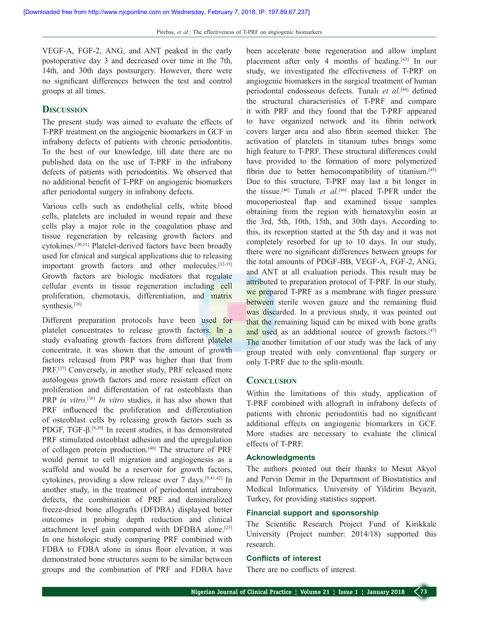VEGF-A, FGF-2, ANG, and ANT peaked in the early postoperative day 3 and decreased over time in the 7th, 14th, and 30th days postsurgery. However, there were no significant differences between the test and control groups at all times.

## **Discussion**

The present study was aimed to evaluate the effects of T-PRF treatment on the angiogenic biomarkers in GCF in infrabony defects of patients with chronic periodontitis. To the best of our knowledge, till date there are no published data on the use of T-PRF in the infrabony defects of patients with periodontitis. We observed that no additional benefit of T-PRF on angiogenic biomarkers after periodontal surgery in infrabony defects.

Various cells such as endothelial cells, white blood cells, platelets are included in wound repair and these cells play a major role in the coagulation phase and tissue regeneration by releasing growth factors and cytokines.[30,31] Platelet-derived factors have been broadly used for clinical and surgical applications due to releasing important growth factors and other molecules.[32-35] Growth factors are biologic mediators that regulate cellular events in tissue regeneration including cell proliferation, chemotaxis, differentiation, and matrix synthesis.<sup>[36]</sup>

Different preparation protocols have been used for platelet concentrates to release growth factors. In a study evaluating growth factors from different platelet concentrate, it was shown that the amount of growth factors released from PRP was higher than that from PRF.<sup>[37]</sup> Conversely, in another study, PRF released more autologous growth factors and more resistant effect on proliferation and differentation of rat osteoblasts than PRP *in vitro*. [38] *In vitro* studies, it has also shown that PRF influenced the proliferation and differentiation of osteoblast cells by releasing growth factors such as PDGF, TGF-β.<sup>[9,39]</sup> In recent studies, it has demonstrated PRF stimulated osteoblast adhesion and the upregulation of collagen protein production.[40] The structure of PRF would permit to cell migration and angiogenesis as a scaffold and would be a reservoir for growth factors, cytokines, providing a slow release over 7 days.[9,41,42] In another study, in the treatment of periodontal intrabony defects, the combination of PRF and demineralized freeze-dried bone allografts (DFDBA) displayed better outcomes in probing depth reduction and clinical attachment level gain compared with DFDBA alone.[23] In one histologic study comparing PRF combined with FDBA to FDBA alone in sinus floor elevation, it was demonstrated bone structures seem to be similar between groups and the combination of PRF and FDBA have

been accelerate bone regeneration and allow implant placement after only 4 months of healing.<sup>[43]</sup> In our study, we investigated the effectiveness of T-PRF on angiogenic biomarkers in the surgical treatment of human periodontal endosseous defects. Tunalı *et al*. [44] defined the structural characteristics of T-PRF and compare it with PRF and they found that the T-PRF appeared to have organized network and its fibrin network covers larger area and also fibrin seemed thicker. The activation of platelets in titanium tubes brings some high feature to T-PRF. These structural differences could have provided to the formation of more polymerized fibrin due to better hemocompatibility of titanium.<sup>[45]</sup> Due to this structure, T-PRF may last a bit longer in the tissue.[46] Tunalı *et al.*[46] placed T-PFR under the mucoperiosteal flap and examined tissue samples obtaining from the region with hematoxylin eosin at the 3rd, 5th, 10th, 15th, and 30th days. According to this, its resorption started at the 5th day and it was not completely resorbed for up to 10 days. In our study, there were no significant differences between groups for the total amounts of PDGF-BB, VEGF-A, FGF-2, ANG, and ANT at all evaluation periods. This result may be attributed to preparation protocol of T-PRF. In our study, we prepared T-PRF as a membrane with finger pressure between sterile woven gauze and the remaining fluid was discarded. In a previous study, it was pointed out that the remaining liquid can be mixed with bone grafts and used as an additional source of growth factors.<sup>[47]</sup> The another limitation of our study was the lack of any group treated with only conventional flap surgery or only T-PRF due to the split-mouth.

## **Conclusion**

Within the limitations of this study, application of T-PRF combined with allograft in infrabony defects of patients with chronic periodontitis had no significant additional effects on angiogenic biomarkers in GCF. More studies are necessary to evaluate the clinical effects of T-PRF.

## **Acknowledgments**

The authors pointed out their thanks to Mesut Akyol and Pervin Demir in the Department of Biostatistics and Medical Informatics, University of Yildirim Beyazit, Turkey, for providing statistics support.

## **Financial support and sponsorship**

The Scientific Research Project Fund of Kirikkale University (Project number: 2014/18) supported this research.

#### **Conflicts of interest**

There are no conflicts of interest.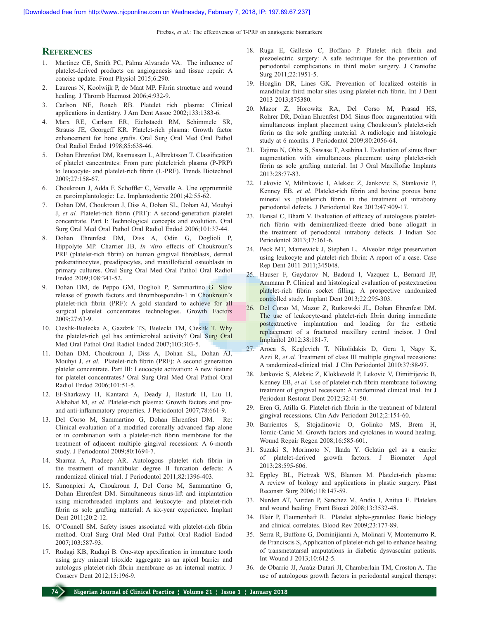Pirebas, *et al*.: The effectiveness of T-PRF on angiogenic biomarkers

#### **References**

- 1. Martínez CE, Smith PC, Palma Alvarado VA. The influence of platelet-derived products on angiogenesis and tissue repair: A concise update. Front Physiol 2015;6:290.
- 2. Laurens N, Koolwijk P, de Maat MP. Fibrin structure and wound healing. J Thromb Haemost 2006;4:932-9.
- 3. Carlson NE, Roach RB. Platelet rich plasma: Clinical applications in dentistry. J Am Dent Assoc 2002;133:1383-6.
- 4. Marx RE, Carlson ER, Eichstaedt RM, Schimmele SR, Strauss JE, Georgeff KR. Platelet-rich plasma: Growth factor enhancement for bone grafts. Oral Surg Oral Med Oral Pathol Oral Radiol Endod 1998;85:638-46.
- 5. Dohan Ehrenfest DM, Rasmusson L, Albrektsson T. Classification of platelet cancentrates: From pure plateletrich plasma (P-PRP) to leucocyte- and platelet-rich fibrin (L-PRF). Trends Biotechnol 2009;27:158-67.
- 6. Choukroun J, Adda F, Schoffler C, Vervelle A. Une opprtumnité en paroimplantologie: Le. Implantodontie 2001;42:55-62.
- 7. Dohan DM, Choukroun J, Diss A, Dohan SL, Dohan AJ, Mouhyi J, *et al.* Platelet-rich fibrin (PRF): A second-generation platelet concentrate. Part I: Technological concepts and evolution. Oral Surg Oral Med Oral Pathol Oral Radiol Endod 2006;101:37-44.
- 8. Dohan Ehrenfest DM, Diss A, Odin G, Doglioli P, Hippolyte MP. Charrier JB, *In vitro* effects of Choukroun's PRF (platelet-rich fibrin) on human gingival fibroblasts, dermal prekeratinocytes, preadipocytes, and maxillofacial osteoblasts in primary cultures. Oral Surg Oral Med Oral Pathol Oral Radiol Endod 2009;108:341-52.
- 9. Dohan DM, de Peppo GM, Doglioli P, Sammartino G. Slow release of growth factors and thrombospondin-1 in Choukroun's platelet-rich fibrin (PRF): A gold standard to achieve for all surgical platelet concentrates technologies. Growth Factors 2009;27:63-9.
- 10. Cieslik-Bielecka A, Gazdzik TS, Bielecki TM, Cieslik T. Why the platelet-rich gel has antimicrobial activity? Oral Surg Oral Med Oral Pathol Oral Radiol Endod 2007;103:303-5.
- 11. Dohan DM, Choukroun J, Diss A, Dohan SL, Dohan AJ, Mouhyi J, *et al.* Platelet-rich fibrin (PRF): A second generation platelet concentrate. Part III: Leucocyte activation: A new feature for platelet concentrates? Oral Surg Oral Med Oral Pathol Oral Radiol Endod 2006;101:51-5.
- 12. El-Sharkawy H, Kantarci A, Deady J, Hasturk H, Liu H, Alshahat M, *et al.* Platelet-rich plasma: Growth factors and proand anti-inflammatory properties. J Periodontol 2007;78:661-9.
- 13. Del Corso M, Sammartino G, Dohan Ehrenfest DM. Re: Clinical evaluation of a modified coronally advanced flap alone or in combination with a platelet-rich fibrin membrane for the treatment of adjacent multiple gingival recessions: A 6-month study. J Periodontol 2009;80:1694-7.
- 14. Sharma A, Pradeep AR. Autologous platelet rich fibrin in the treatment of mandibular degree II furcation defects: A randomized clinical trial. J Periodontol 2011;82:1396-403.
- 15. Simonpieri A, Choukroun J, Del Corso M, Sammartino G, Dohan Ehrenfest DM. Simultaneous sinus-lift and implantation using microthreaded implants and leukocyte- and platelet-rich fibrin as sole grafting material: A six-year experience. Implant Dent 2011;20:2-12.
- 16. O'Connell SM. Safety issues associated with platelet-rich fibrin method. Oral Surg Oral Med Oral Pathol Oral Radiol Endod 2007;103:587-93.
- 17. Rudagi KB, Rudagi B. One-step apexification in immature tooth using grey mineral trioxide aggregate as an apical barrier and autologus platelet-rich fibrin membrane as an internal matrix. J Conserv Dent 2012;15:196-9.
- 18. Ruga E, Gallesio C, Boffano P. Platelet rich fibrin and piezoelectric surgery: A safe technique for the prevention of periodontal complications in third molar surgery. J Craniofac Surg 2011;22:1951-5.
- 19. Hoaglin DR, Lines GK. Prevention of localized osteitis in mandibular third molar sites using platelet-rich fibrin. Int J Dent 2013 2013;875380.
- 20. Mazor Z, Horowitz RA, Del Corso M, Prasad HS, Rohrer DR, Dohan Ehrenfest DM. Sinus floor augmentation with simultaneous implant placement using Choukroun's platelet-rich fibrin as the sole grafting material: A radiologic and histologic study at 6 months. J Periodontol 2009;80:2056-64.
- 21. Tajima N, Ohba S, Sawase T, Asahina I. Evaluation of sinus floor augmentation with simultaneous placement using platelet-rich fibrin as sole grafting material. Int J Oral Maxillofac Implants 2013;28:77-83.
- 22. Lekovic V, Milinkovic I, Aleksic Z, Jankovic S, Stankovic P, Kenney EB, *et al.* Platelet-rich fibrin and bovine porous bone mineral vs. plateletrich fibrin in the treatment of intrabony periodontal defects. J Periodontal Res 2012;47:409-17.
- 23. Bansal C, Bharti V. Evaluation of efficacy of autologous plateletrich fibrin with demineralized-freeze dried bone allogaft in the treatment of periodontal intrabony defects. J Indian Soc Periodontol 2013;17:361-6.
- 24. Peck MT, Marnewick J, Stephen L. Alveolar ridge preservation using leukocyte and platelet-rich fibrin: A report of a case. Case Rep Dent 2011 2011;345048.
- 25. Hauser F, Gaydarov N, Badoud I, Vazquez L, Bernard JP, Ammann P. Clinical and histological evaluation of postextraction platelet-rich fibrin socket filling: A prospective randomized controlled study. Implant Dent 2013;22:295-303.
- 26. Del Corso M, Mazor Z, Rutkowski JL, Dohan Ehrenfest DM. The use of leukocyte-and platelet-rich fibrin during immediate postextractive implantation and loading for the esthetic replacement of a fractured maxillary central incisor. J Oral Implantol 2012;38:181-7.
- 27. Aroca S, Keglevich T, Nikolidakis D, Gera I, Nagy K, Azzi R, *et al.* Treatment of class III multiple gingival recessions: A randomized-clinical trial. J Clin Periodontol 2010;37:88-97.
- 28. Jankovic S, Aleksic Z, Klokkevold P, Lekovic V, Dimitrijevic B, Kenney EB, *et al.* Use of platelet-rich fibrin membrane following treatment of gingival recession: A randomized clinical trial. Int J Periodont Restorat Dent 2012;32:41-50.
- 29. Eren G, Atilla G. Platelet-rich fibrin in the treatment of bilateral gingival recessions. Clin Adv Periodont 2012;2:154-60.
- 30. Barrientos S, Stojadinovic O, Golinko MS, Brem H, Tomic-Canic M. Growth factors and cytokines in wound healing. Wound Repair Regen 2008;16:585-601.
- 31. Suzuki S, Morimoto N, Ikada Y. Gelatin gel as a carrier of platelet-derived growth factors. J Biomater Appl 2013;28:595-606.
- 32. Eppley BL, Pietrzak WS, Blanton M. Platelet-rich plasma: A review of biology and applications in plastic surgery. Plast Reconstr Surg 2006;118:147-59.
- 33. Nurden AT, Nurden P, Sanchez M, Andia I, Anitua E. Platelets and wound healing. Front Biosci 2008;13:3532-48.
- 34. Blair P, Flaumenhaft R. Platelet alpha-granules: Basic biology and clinical correlates. Blood Rev 2009;23:177-89.
- 35. Serra R, Buffone G, Dominijianni A, Molinari V, Montemurro R. de Franciscis S, Application of platelet-rich gel to enhance healing of transmetatarsal amputations in diabetic dysvascular patients. Int Wound J 2013;10:612-5.
- 36. de Obarrio JJ, Araúz‑Dutari JI, Chamberlain TM, Croston A. The use of autologous growth factors in periodontal surgical therapy: